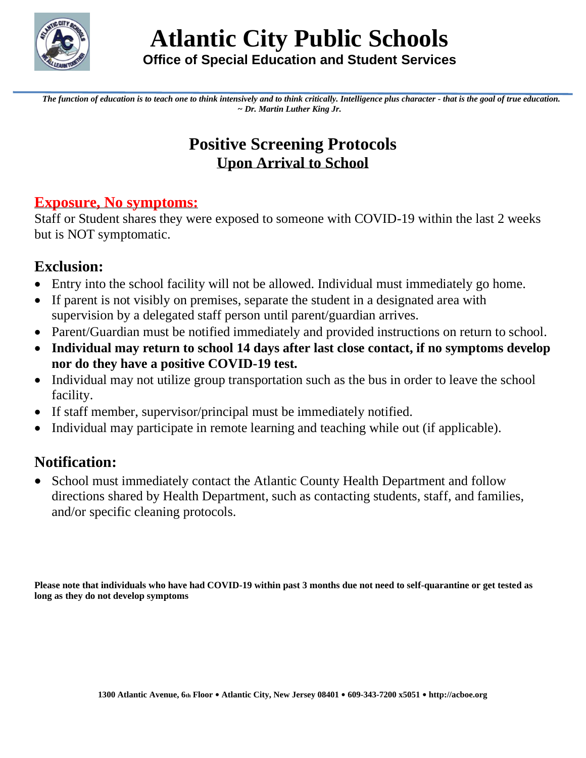

*The function of education is to teach one to think intensively and to think critically. Intelligence plus character - that is the goal of true education. ~ Dr. Martin Luther King Jr.*

## **Positive Screening Protocols Upon Arrival to School**

#### **Exposure, No symptoms:**

Staff or Student shares they were exposed to someone with COVID-19 within the last 2 weeks but is NOT symptomatic.

#### **Exclusion:**

- Entry into the school facility will not be allowed. Individual must immediately go home.
- If parent is not visibly on premises, separate the student in a designated area with supervision by a delegated staff person until parent/guardian arrives.
- Parent/Guardian must be notified immediately and provided instructions on return to school.
- **Individual may return to school 14 days after last close contact, if no symptoms develop nor do they have a positive COVID-19 test.**
- Individual may not utilize group transportation such as the bus in order to leave the school facility.
- If staff member, supervisor/principal must be immediately notified.
- Individual may participate in remote learning and teaching while out (if applicable).

### **Notification:**

• School must immediately contact the Atlantic County Health Department and follow directions shared by Health Department, such as contacting students, staff, and families, and/or specific cleaning protocols.

**Please note that individuals who have had COVID-19 within past 3 months due not need to self-quarantine or get tested as long as they do not develop symptoms**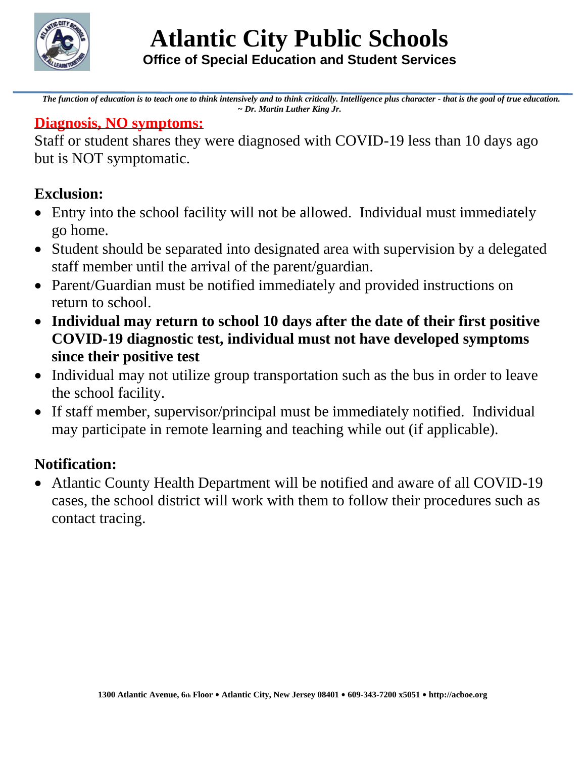

*The function of education is to teach one to think intensively and to think critically. Intelligence plus character - that is the goal of true education. ~ Dr. Martin Luther King Jr.*

#### **Diagnosis, NO symptoms:**

Staff or student shares they were diagnosed with COVID-19 less than 10 days ago but is NOT symptomatic.

## **Exclusion:**

- Entry into the school facility will not be allowed. Individual must immediately go home.
- Student should be separated into designated area with supervision by a delegated staff member until the arrival of the parent/guardian.
- Parent/Guardian must be notified immediately and provided instructions on return to school.
- **Individual may return to school 10 days after the date of their first positive COVID-19 diagnostic test, individual must not have developed symptoms since their positive test**
- Individual may not utilize group transportation such as the bus in order to leave the school facility.
- If staff member, supervisor/principal must be immediately notified. Individual may participate in remote learning and teaching while out (if applicable).

# **Notification:**

• Atlantic County Health Department will be notified and aware of all COVID-19 cases, the school district will work with them to follow their procedures such as contact tracing.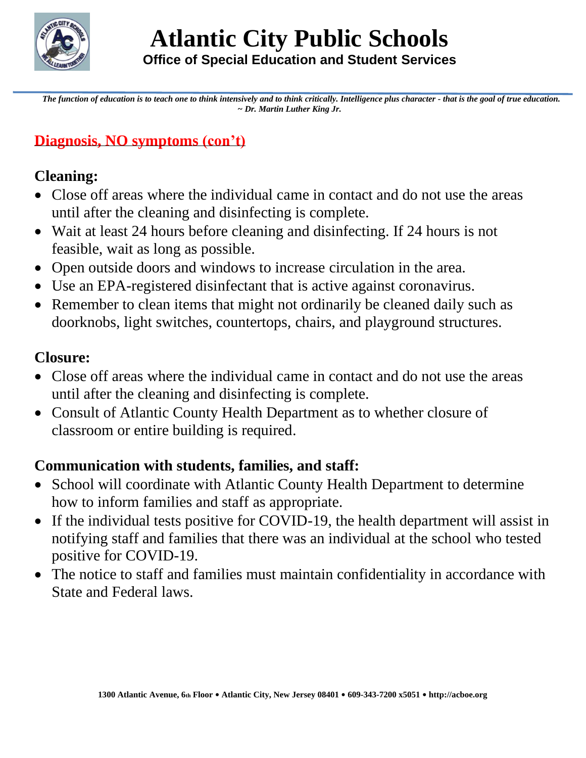

*The function of education is to teach one to think intensively and to think critically. Intelligence plus character - that is the goal of true education. ~ Dr. Martin Luther King Jr.*

## **Diagnosis, NO symptoms (con't)**

## **Cleaning:**

- Close off areas where the individual came in contact and do not use the areas until after the cleaning and disinfecting is complete.
- Wait at least 24 hours before cleaning and disinfecting. If 24 hours is not feasible, wait as long as possible.
- Open outside doors and windows to increase circulation in the area.
- Use an EPA-registered disinfectant that is active against coronavirus.
- Remember to clean items that might not ordinarily be cleaned daily such as doorknobs, light switches, countertops, chairs, and playground structures.

#### **Closure:**

- Close off areas where the individual came in contact and do not use the areas until after the cleaning and disinfecting is complete.
- Consult of Atlantic County Health Department as to whether closure of classroom or entire building is required.

### **Communication with students, families, and staff:**

- School will coordinate with Atlantic County Health Department to determine how to inform families and staff as appropriate.
- If the individual tests positive for COVID-19, the health department will assist in notifying staff and families that there was an individual at the school who tested positive for COVID-19.
- The notice to staff and families must maintain confidentiality in accordance with State and Federal laws.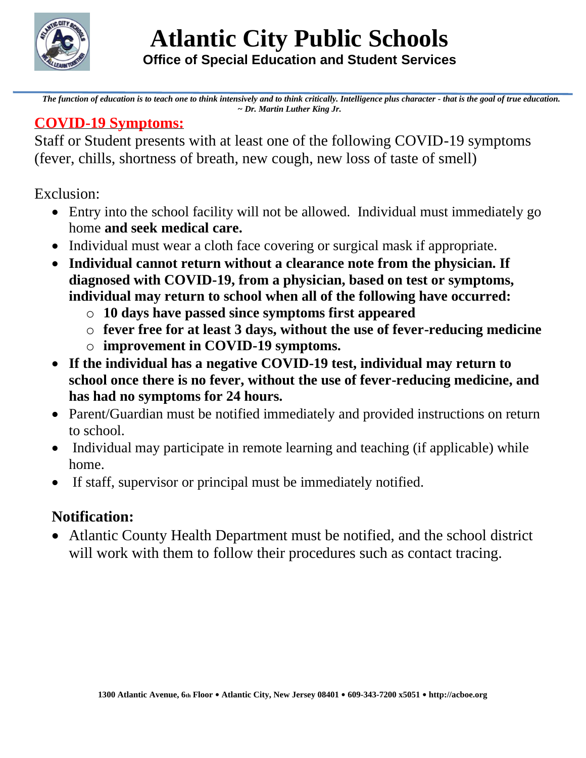

*The function of education is to teach one to think intensively and to think critically. Intelligence plus character - that is the goal of true education. ~ Dr. Martin Luther King Jr.*

### **COVID-19 Symptoms:**

Staff or Student presents with at least one of the following COVID-19 symptoms (fever, chills, shortness of breath, new cough, new loss of taste of smell)

Exclusion:

- Entry into the school facility will not be allowed. Individual must immediately go home **and seek medical care.**
- Individual must wear a cloth face covering or surgical mask if appropriate.
- **Individual cannot return without a clearance note from the physician. If diagnosed with COVID-19, from a physician, based on test or symptoms, individual may return to school when all of the following have occurred:**
	- o **10 days have passed since symptoms first appeared**
	- o **fever free for at least 3 days, without the use of fever-reducing medicine**
	- o **improvement in COVID-19 symptoms.**
- **If the individual has a negative COVID-19 test, individual may return to school once there is no fever, without the use of fever-reducing medicine, and has had no symptoms for 24 hours.**
- Parent/Guardian must be notified immediately and provided instructions on return to school.
- Individual may participate in remote learning and teaching (if applicable) while home.
- If staff, supervisor or principal must be immediately notified.

# **Notification:**

• Atlantic County Health Department must be notified, and the school district will work with them to follow their procedures such as contact tracing.